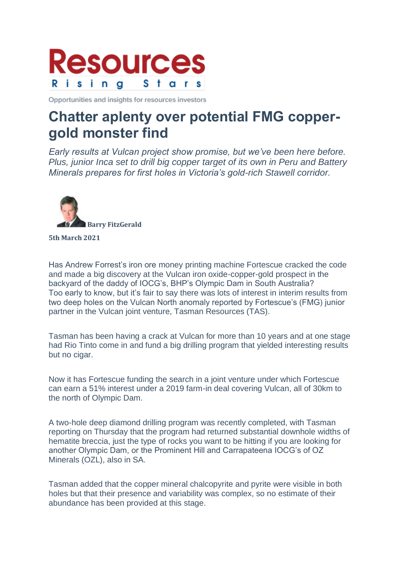

Opportunities and insights for resources investors

## **Chatter aplenty over potential FMG coppergold monster find**

*Early results at Vulcan project show promise, but we've been here before. Plus, junior Inca set to drill big copper target of its own in Peru and Battery Minerals prepares for first holes in Victoria's gold-rich Stawell corridor.*



## **5th March 2021**

Has Andrew Forrest's iron ore money printing machine Fortescue cracked the code and made a big discovery at the Vulcan iron oxide-copper-gold prospect in the backyard of the daddy of IOCG's, BHP's Olympic Dam in South Australia? Too early to know, but it's fair to say there was lots of interest in interim results from two deep holes on the Vulcan North anomaly reported by Fortescue's (FMG) junior partner in the Vulcan joint venture, Tasman Resources (TAS).

Tasman has been having a crack at Vulcan for more than 10 years and at one stage had Rio Tinto come in and fund a big drilling program that yielded interesting results but no cigar.

Now it has Fortescue funding the search in a joint venture under which Fortescue can earn a 51% interest under a 2019 farm-in deal covering Vulcan, all of 30km to the north of Olympic Dam.

A two-hole deep diamond drilling program was recently completed, with Tasman reporting on Thursday that the program had returned substantial downhole widths of hematite breccia, just the type of rocks you want to be hitting if you are looking for another Olympic Dam, or the Prominent Hill and Carrapateena IOCG's of OZ Minerals (OZL), also in SA.

Tasman added that the copper mineral chalcopyrite and pyrite were visible in both holes but that their presence and variability was complex, so no estimate of their abundance has been provided at this stage.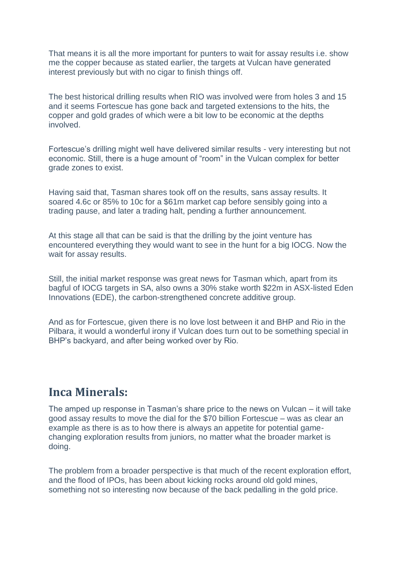That means it is all the more important for punters to wait for assay results i.e. show me the copper because as stated earlier, the targets at Vulcan have generated interest previously but with no cigar to finish things off.

The best historical drilling results when RIO was involved were from holes 3 and 15 and it seems Fortescue has gone back and targeted extensions to the hits, the copper and gold grades of which were a bit low to be economic at the depths involved.

Fortescue's drilling might well have delivered similar results - very interesting but not economic. Still, there is a huge amount of "room" in the Vulcan complex for better grade zones to exist.

Having said that, Tasman shares took off on the results, sans assay results. It soared 4.6c or 85% to 10c for a \$61m market cap before sensibly going into a trading pause, and later a trading halt, pending a further announcement.

At this stage all that can be said is that the drilling by the joint venture has encountered everything they would want to see in the hunt for a big IOCG. Now the wait for assay results.

Still, the initial market response was great news for Tasman which, apart from its bagful of IOCG targets in SA, also owns a 30% stake worth \$22m in ASX-listed Eden Innovations (EDE), the carbon-strengthened concrete additive group.

And as for Fortescue, given there is no love lost between it and BHP and Rio in the Pilbara, it would a wonderful irony if Vulcan does turn out to be something special in BHP's backyard, and after being worked over by Rio.

## **Inca Minerals:**

The amped up response in Tasman's share price to the news on Vulcan – it will take good assay results to move the dial for the \$70 billion Fortescue – was as clear an example as there is as to how there is always an appetite for potential gamechanging exploration results from juniors, no matter what the broader market is doing.

The problem from a broader perspective is that much of the recent exploration effort, and the flood of IPOs, has been about kicking rocks around old gold mines, something not so interesting now because of the back pedalling in the gold price.